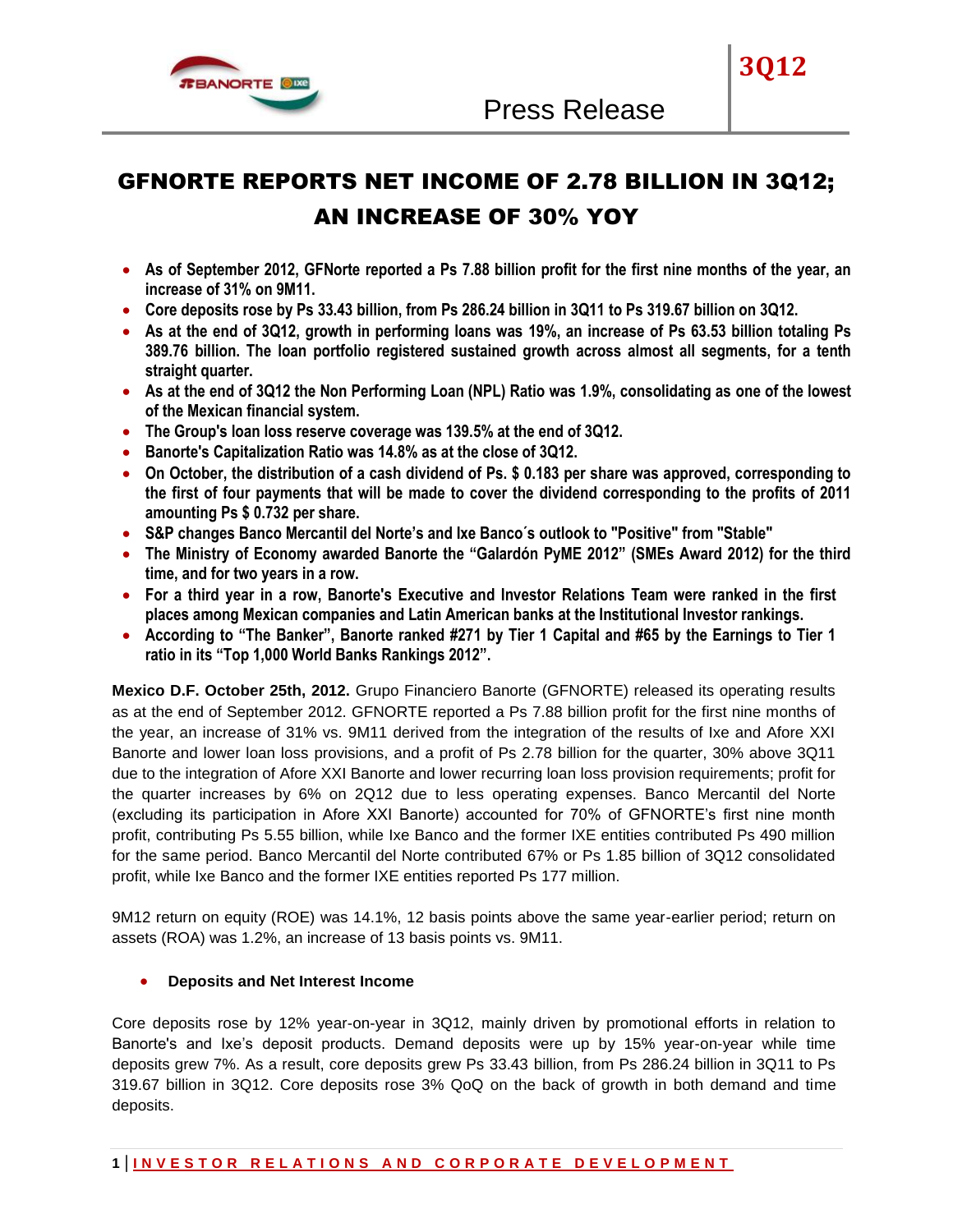

# GFNORTE REPORTS NET INCOME OF 2.78 BILLION IN 3Q12; AN INCREASE OF 30% YOY

- **As of September 2012, GFNorte reported a Ps 7.88 billion profit for the first nine months of the year, an increase of 31% on 9M11.**
- **Core deposits rose by Ps 33.43 billion, from Ps 286.24 billion in 3Q11 to Ps 319.67 billion on 3Q12.**
- **As at the end of 3Q12, growth in performing loans was 19%, an increase of Ps 63.53 billion totaling Ps 389.76 billion. The loan portfolio registered sustained growth across almost all segments, for a tenth straight quarter.**
- **As at the end of 3Q12 the Non Performing Loan (NPL) Ratio was 1.9%, consolidating as one of the lowest of the Mexican financial system.**
- **The Group's loan loss reserve coverage was 139.5% at the end of 3Q12.**
- **Banorte's Capitalization Ratio was 14.8% as at the close of 3Q12.**
- **On October, the distribution of a cash dividend of Ps. \$ 0.183 per share was approved, corresponding to the first of four payments that will be made to cover the dividend corresponding to the profits of 2011 amounting Ps \$ 0.732 per share.**
- **S&P changes Banco Mercantil del Norte's and Ixe Banco´s outlook to "Positive" from "Stable"**
- **The Ministry of Economy awarded Banorte the "Galardón PyME 2012" (SMEs Award 2012) for the third time, and for two years in a row.**
- **For a third year in a row, Banorte's Executive and Investor Relations Team were ranked in the first places among Mexican companies and Latin American banks at the Institutional Investor rankings.**
- **According to "The Banker", Banorte ranked #271 by Tier 1 Capital and #65 by the Earnings to Tier 1 ratio in its "Top 1,000 World Banks Rankings 2012".**

**Mexico D.F. October 25th, 2012.** Grupo Financiero Banorte (GFNORTE) released its operating results as at the end of September 2012. GFNORTE reported a Ps 7.88 billion profit for the first nine months of the year, an increase of 31% vs. 9M11 derived from the integration of the results of Ixe and Afore XXI Banorte and lower loan loss provisions, and a profit of Ps 2.78 billion for the quarter, 30% above 3Q11 due to the integration of Afore XXI Banorte and lower recurring loan loss provision requirements; profit for the quarter increases by 6% on 2Q12 due to less operating expenses. Banco Mercantil del Norte (excluding its participation in Afore XXI Banorte) accounted for 70% of GFNORTE's first nine month profit, contributing Ps 5.55 billion, while Ixe Banco and the former IXE entities contributed Ps 490 million for the same period. Banco Mercantil del Norte contributed 67% or Ps 1.85 billion of 3Q12 consolidated profit, while Ixe Banco and the former IXE entities reported Ps 177 million.

9M12 return on equity (ROE) was 14.1%, 12 basis points above the same year-earlier period; return on assets (ROA) was 1.2%, an increase of 13 basis points vs. 9M11.

# **Deposits and Net Interest Income**

Core deposits rose by 12% year-on-year in 3Q12, mainly driven by promotional efforts in relation to Banorte's and Ixe's deposit products. Demand deposits were up by 15% year-on-year while time deposits grew 7%. As a result, core deposits grew Ps 33.43 billion, from Ps 286.24 billion in 3Q11 to Ps 319.67 billion in 3Q12. Core deposits rose 3% QoQ on the back of growth in both demand and time deposits.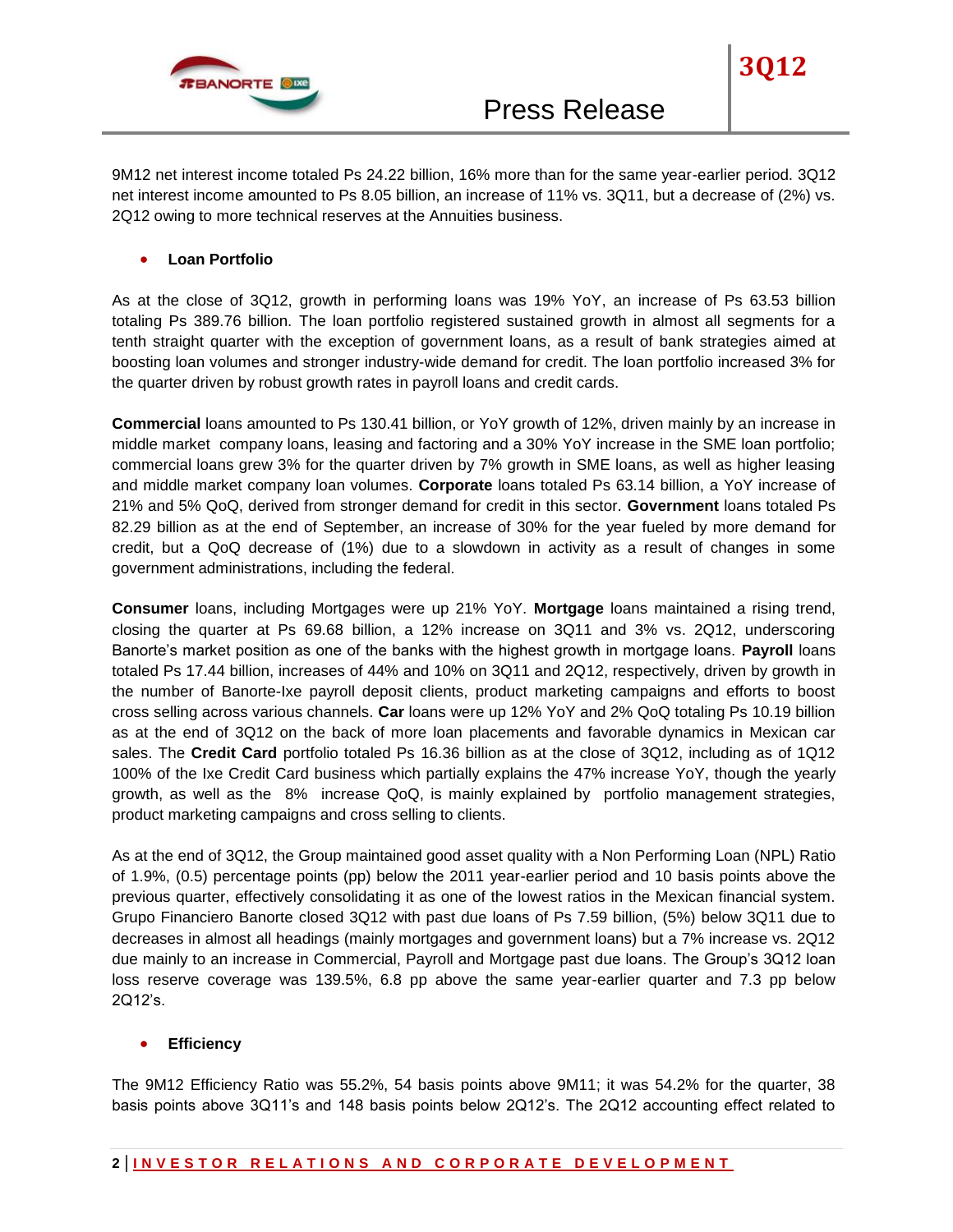

**3Q12**

#### **Loan Portfolio**

As at the close of 3Q12, growth in performing loans was 19% YoY, an increase of Ps 63.53 billion totaling Ps 389.76 billion. The loan portfolio registered sustained growth in almost all segments for a tenth straight quarter with the exception of government loans, as a result of bank strategies aimed at boosting loan volumes and stronger industry-wide demand for credit. The loan portfolio increased 3% for the quarter driven by robust growth rates in payroll loans and credit cards.

**Commercial** loans amounted to Ps 130.41 billion, or YoY growth of 12%, driven mainly by an increase in middle market company loans, leasing and factoring and a 30% YoY increase in the SME loan portfolio; commercial loans grew 3% for the quarter driven by 7% growth in SME loans, as well as higher leasing and middle market company loan volumes. **Corporate** loans totaled Ps 63.14 billion, a YoY increase of 21% and 5% QoQ, derived from stronger demand for credit in this sector. **Government** loans totaled Ps 82.29 billion as at the end of September, an increase of 30% for the year fueled by more demand for credit, but a QoQ decrease of (1%) due to a slowdown in activity as a result of changes in some government administrations, including the federal.

**Consumer** loans, including Mortgages were up 21% YoY. **Mortgage** loans maintained a rising trend, closing the quarter at Ps 69.68 billion, a 12% increase on 3Q11 and 3% vs. 2Q12, underscoring Banorte's market position as one of the banks with the highest growth in mortgage loans. **Payroll** loans totaled Ps 17.44 billion, increases of 44% and 10% on 3Q11 and 2Q12, respectively, driven by growth in the number of Banorte-Ixe payroll deposit clients, product marketing campaigns and efforts to boost cross selling across various channels. **Car** loans were up 12% YoY and 2% QoQ totaling Ps 10.19 billion as at the end of 3Q12 on the back of more loan placements and favorable dynamics in Mexican car sales. The **Credit Card** portfolio totaled Ps 16.36 billion as at the close of 3Q12, including as of 1Q12 100% of the Ixe Credit Card business which partially explains the 47% increase YoY, though the yearly growth, as well as the 8% increase QoQ, is mainly explained by portfolio management strategies, product marketing campaigns and cross selling to clients.

As at the end of 3Q12, the Group maintained good asset quality with a Non Performing Loan (NPL) Ratio of 1.9%, (0.5) percentage points (pp) below the 2011 year-earlier period and 10 basis points above the previous quarter, effectively consolidating it as one of the lowest ratios in the Mexican financial system. Grupo Financiero Banorte closed 3Q12 with past due loans of Ps 7.59 billion, (5%) below 3Q11 due to decreases in almost all headings (mainly mortgages and government loans) but a 7% increase vs. 2Q12 due mainly to an increase in Commercial, Payroll and Mortgage past due loans. The Group's 3Q12 loan loss reserve coverage was 139.5%, 6.8 pp above the same year-earlier quarter and 7.3 pp below 2Q12's.

#### **Efficiency**

The 9M12 Efficiency Ratio was 55.2%, 54 basis points above 9M11; it was 54.2% for the quarter, 38 basis points above 3Q11's and 148 basis points below 2Q12's. The 2Q12 accounting effect related to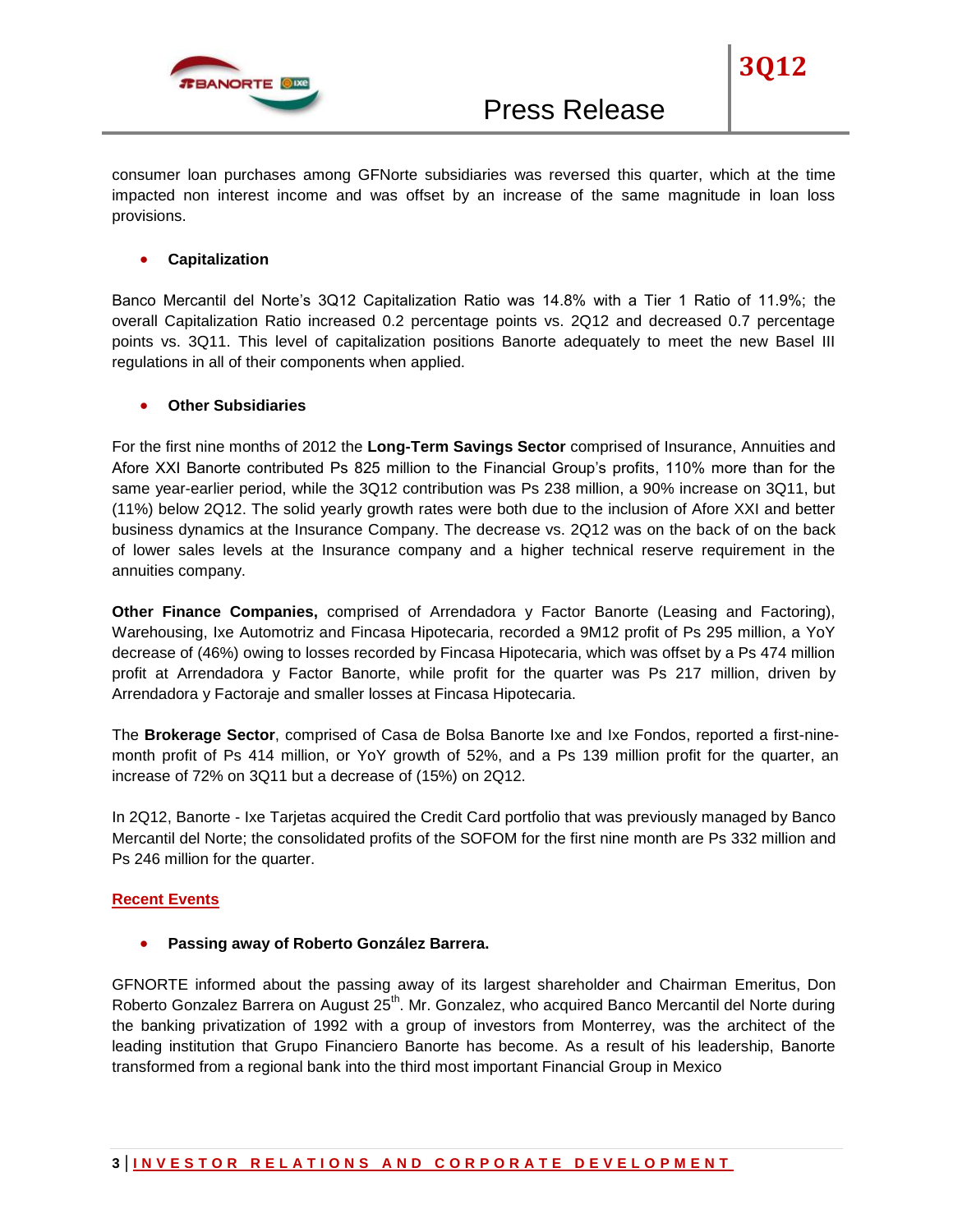

consumer loan purchases among GFNorte subsidiaries was reversed this quarter, which at the time impacted non interest income and was offset by an increase of the same magnitude in loan loss provisions.

# **Capitalization**

Banco Mercantil del Norte's 3Q12 Capitalization Ratio was 14.8% with a Tier 1 Ratio of 11.9%; the overall Capitalization Ratio increased 0.2 percentage points vs. 2Q12 and decreased 0.7 percentage points vs. 3Q11. This level of capitalization positions Banorte adequately to meet the new Basel III regulations in all of their components when applied.

## **Other Subsidiaries**

For the first nine months of 2012 the **Long-Term Savings Sector** comprised of Insurance, Annuities and Afore XXI Banorte contributed Ps 825 million to the Financial Group's profits, 110% more than for the same year-earlier period, while the 3Q12 contribution was Ps 238 million, a 90% increase on 3Q11, but (11%) below 2Q12. The solid yearly growth rates were both due to the inclusion of Afore XXI and better business dynamics at the Insurance Company. The decrease vs. 2Q12 was on the back of on the back of lower sales levels at the Insurance company and a higher technical reserve requirement in the annuities company.

**Other Finance Companies,** comprised of Arrendadora y Factor Banorte (Leasing and Factoring), Warehousing, Ixe Automotriz and Fincasa Hipotecaria, recorded a 9M12 profit of Ps 295 million, a YoY decrease of (46%) owing to losses recorded by Fincasa Hipotecaria, which was offset by a Ps 474 million profit at Arrendadora y Factor Banorte, while profit for the quarter was Ps 217 million, driven by Arrendadora y Factoraje and smaller losses at Fincasa Hipotecaria.

The **Brokerage Sector**, comprised of Casa de Bolsa Banorte Ixe and Ixe Fondos, reported a first-ninemonth profit of Ps 414 million, or YoY growth of 52%, and a Ps 139 million profit for the quarter, an increase of 72% on 3Q11 but a decrease of (15%) on 2Q12.

In 2Q12, Banorte - Ixe Tarjetas acquired the Credit Card portfolio that was previously managed by Banco Mercantil del Norte; the consolidated profits of the SOFOM for the first nine month are Ps 332 million and Ps 246 million for the quarter.

#### **Recent Events**

#### **Passing away of Roberto González Barrera.**

GFNORTE informed about the passing away of its largest shareholder and Chairman Emeritus, Don Roberto Gonzalez Barrera on August 25<sup>th</sup>. Mr. Gonzalez, who acquired Banco Mercantil del Norte during the banking privatization of 1992 with a group of investors from Monterrey, was the architect of the leading institution that Grupo Financiero Banorte has become. As a result of his leadership, Banorte transformed from a regional bank into the third most important Financial Group in Mexico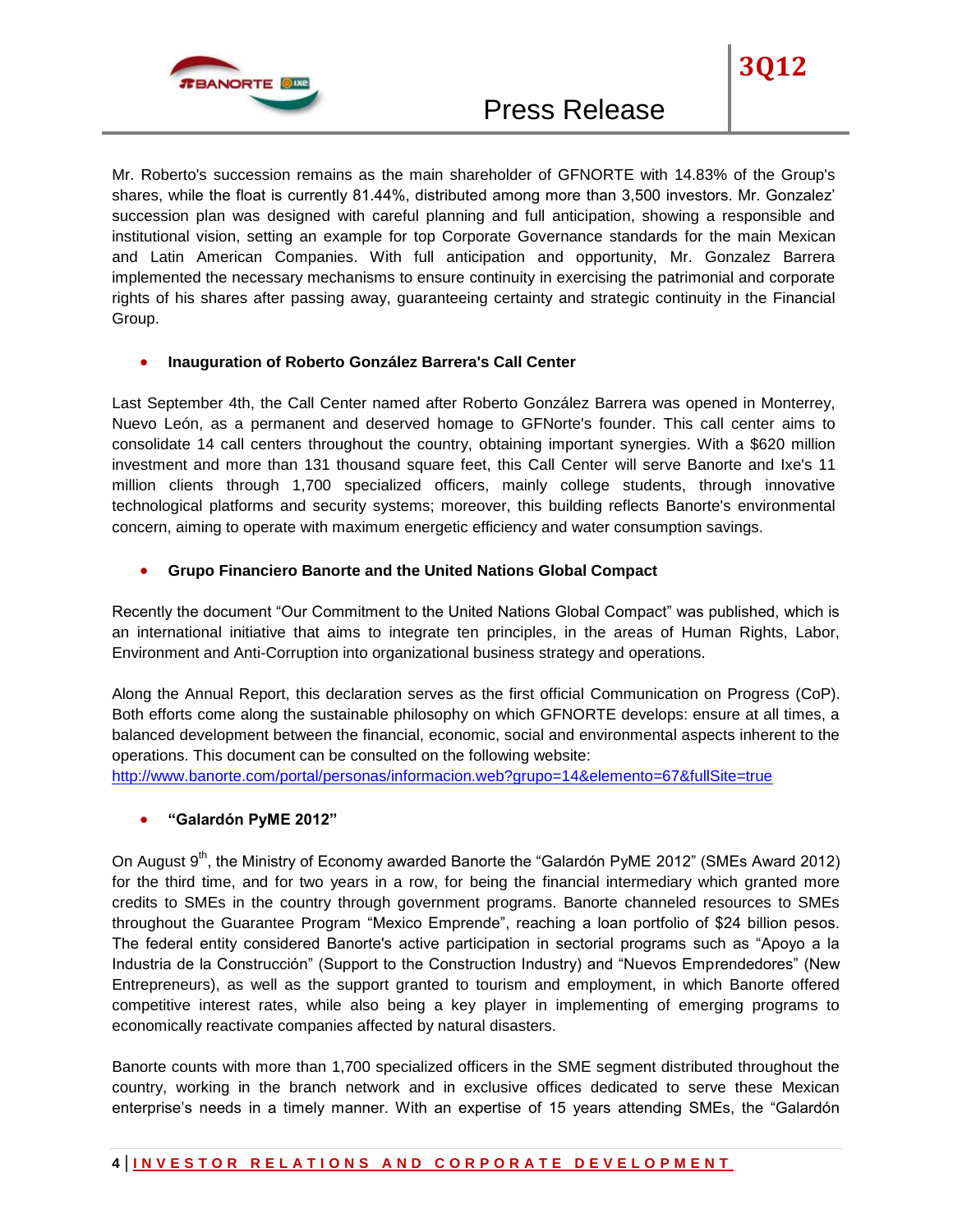

Mr. Roberto's succession remains as the main shareholder of GFNORTE with 14.83% of the Group's shares, while the float is currently 81.44%, distributed among more than 3,500 investors. Mr. Gonzalez' succession plan was designed with careful planning and full anticipation, showing a responsible and institutional vision, setting an example for top Corporate Governance standards for the main Mexican and Latin American Companies. With full anticipation and opportunity, Mr. Gonzalez Barrera implemented the necessary mechanisms to ensure continuity in exercising the patrimonial and corporate rights of his shares after passing away, guaranteeing certainty and strategic continuity in the Financial Group.

## **Inauguration of Roberto González Barrera's Call Center**

Last September 4th, the Call Center named after Roberto González Barrera was opened in Monterrey, Nuevo León, as a permanent and deserved homage to GFNorte's founder. This call center aims to consolidate 14 call centers throughout the country, obtaining important synergies. With a \$620 million investment and more than 131 thousand square feet, this Call Center will serve Banorte and Ixe's 11 million clients through 1,700 specialized officers, mainly college students, through innovative technological platforms and security systems; moreover, this building reflects Banorte's environmental concern, aiming to operate with maximum energetic efficiency and water consumption savings.

## **Grupo Financiero Banorte and the United Nations Global Compact**

Recently the document "Our Commitment to the United Nations Global Compact" was published, which is an international initiative that aims to integrate ten principles, in the areas of Human Rights, Labor, Environment and Anti-Corruption into organizational business strategy and operations.

Along the Annual Report, this declaration serves as the first official Communication on Progress (CoP). Both efforts come along the sustainable philosophy on which GFNORTE develops: ensure at all times, a balanced development between the financial, economic, social and environmental aspects inherent to the operations. This document can be consulted on the following website:

<http://www.banorte.com/portal/personas/informacion.web?grupo=14&elemento=67&fullSite=true>

# **"Galardón PyME 2012"**

On August  $9<sup>th</sup>$ , the Ministry of Economy awarded Banorte the "Galardón PyME 2012" (SMEs Award 2012) for the third time, and for two years in a row, for being the financial intermediary which granted more credits to SMEs in the country through government programs. Banorte channeled resources to SMEs throughout the Guarantee Program "Mexico Emprende", reaching a loan portfolio of \$24 billion pesos. The federal entity considered Banorte's active participation in sectorial programs such as "Apoyo a la Industria de la Construcción" (Support to the Construction Industry) and "Nuevos Emprendedores" (New Entrepreneurs), as well as the support granted to tourism and employment, in which Banorte offered competitive interest rates, while also being a key player in implementing of emerging programs to economically reactivate companies affected by natural disasters.

Banorte counts with more than 1,700 specialized officers in the SME segment distributed throughout the country, working in the branch network and in exclusive offices dedicated to serve these Mexican enterprise's needs in a timely manner. With an expertise of 15 years attending SMEs, the "Galardón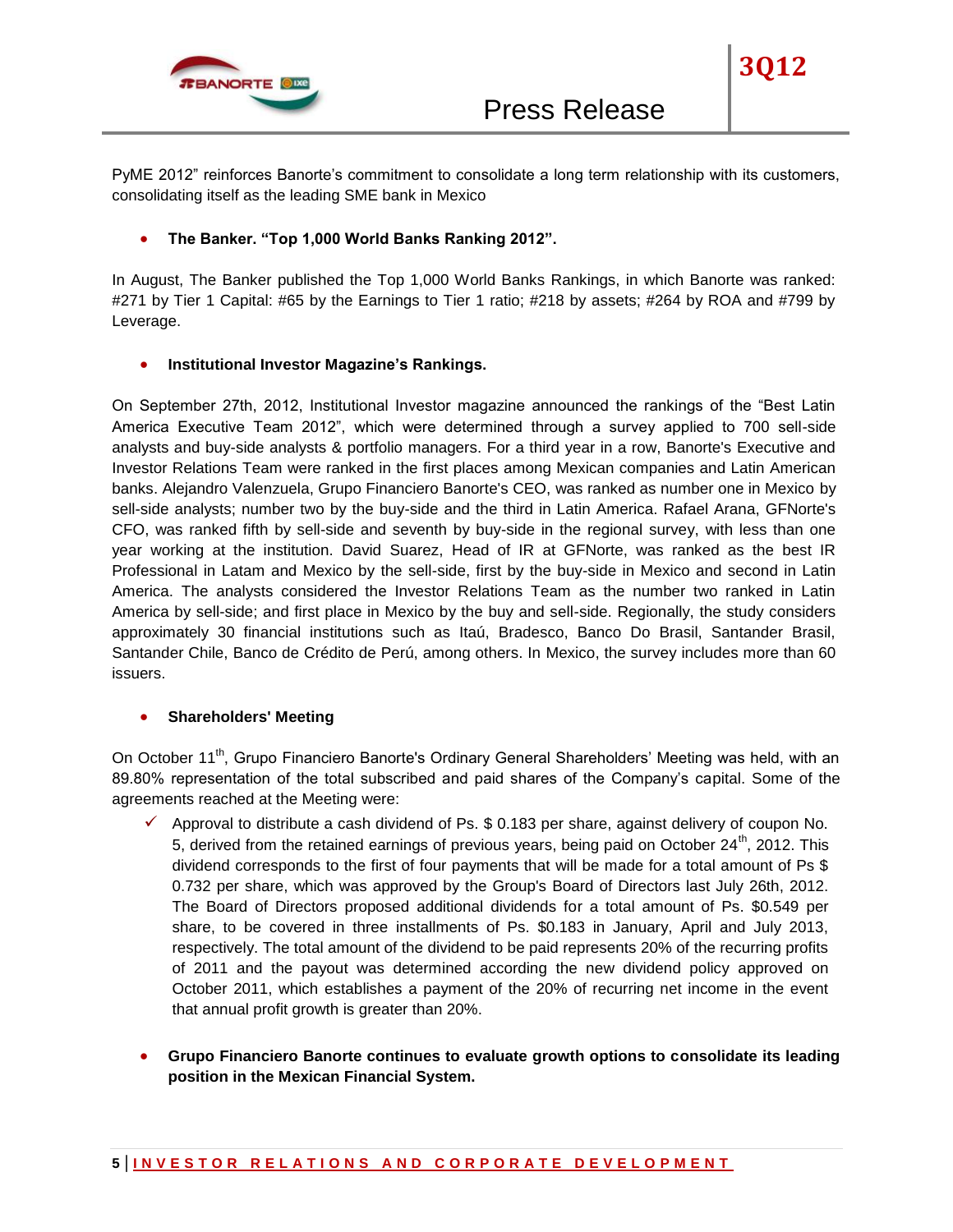

**3Q12**

# **The Banker. "Top 1,000 World Banks Ranking 2012".**

In August, The Banker published the Top 1,000 World Banks Rankings, in which Banorte was ranked: #271 by Tier 1 Capital: #65 by the Earnings to Tier 1 ratio; #218 by assets; #264 by ROA and #799 by Leverage.

## **Institutional Investor Magazine's Rankings.**

On September 27th, 2012, Institutional Investor magazine announced the rankings of the "Best Latin America Executive Team 2012", which were determined through a survey applied to 700 sell-side analysts and buy-side analysts & portfolio managers. For a third year in a row, Banorte's Executive and Investor Relations Team were ranked in the first places among Mexican companies and Latin American banks. Alejandro Valenzuela, Grupo Financiero Banorte's CEO, was ranked as number one in Mexico by sell-side analysts; number two by the buy-side and the third in Latin America. Rafael Arana, GFNorte's CFO, was ranked fifth by sell-side and seventh by buy-side in the regional survey, with less than one year working at the institution. David Suarez, Head of IR at GFNorte, was ranked as the best IR Professional in Latam and Mexico by the sell-side, first by the buy-side in Mexico and second in Latin America. The analysts considered the Investor Relations Team as the number two ranked in Latin America by sell-side; and first place in Mexico by the buy and sell-side. Regionally, the study considers approximately 30 financial institutions such as Itaú, Bradesco, Banco Do Brasil, Santander Brasil, Santander Chile, Banco de Crédito de Perú, among others. In Mexico, the survey includes more than 60 issuers.

# **•** Shareholders' Meeting

On October 11<sup>th</sup>, Grupo Financiero Banorte's Ordinary General Shareholders' Meeting was held, with an 89.80% representation of the total subscribed and paid shares of the Company's capital. Some of the agreements reached at the Meeting were:

- $\checkmark$  Approval to distribute a cash dividend of Ps. \$ 0.183 per share, against delivery of coupon No. 5, derived from the retained earnings of previous years, being paid on October 24<sup>th</sup>, 2012. This dividend corresponds to the first of four payments that will be made for a total amount of Ps \$ 0.732 per share, which was approved by the Group's Board of Directors last July 26th, 2012. The Board of Directors proposed additional dividends for a total amount of Ps. \$0.549 per share, to be covered in three installments of Ps. \$0.183 in January, April and July 2013, respectively. The total amount of the dividend to be paid represents 20% of the recurring profits of 2011 and the payout was determined according the new dividend policy approved on October 2011, which establishes a payment of the 20% of recurring net income in the event that annual profit growth is greater than 20%.
- **Grupo Financiero Banorte continues to evaluate growth options to consolidate its leading position in the Mexican Financial System.**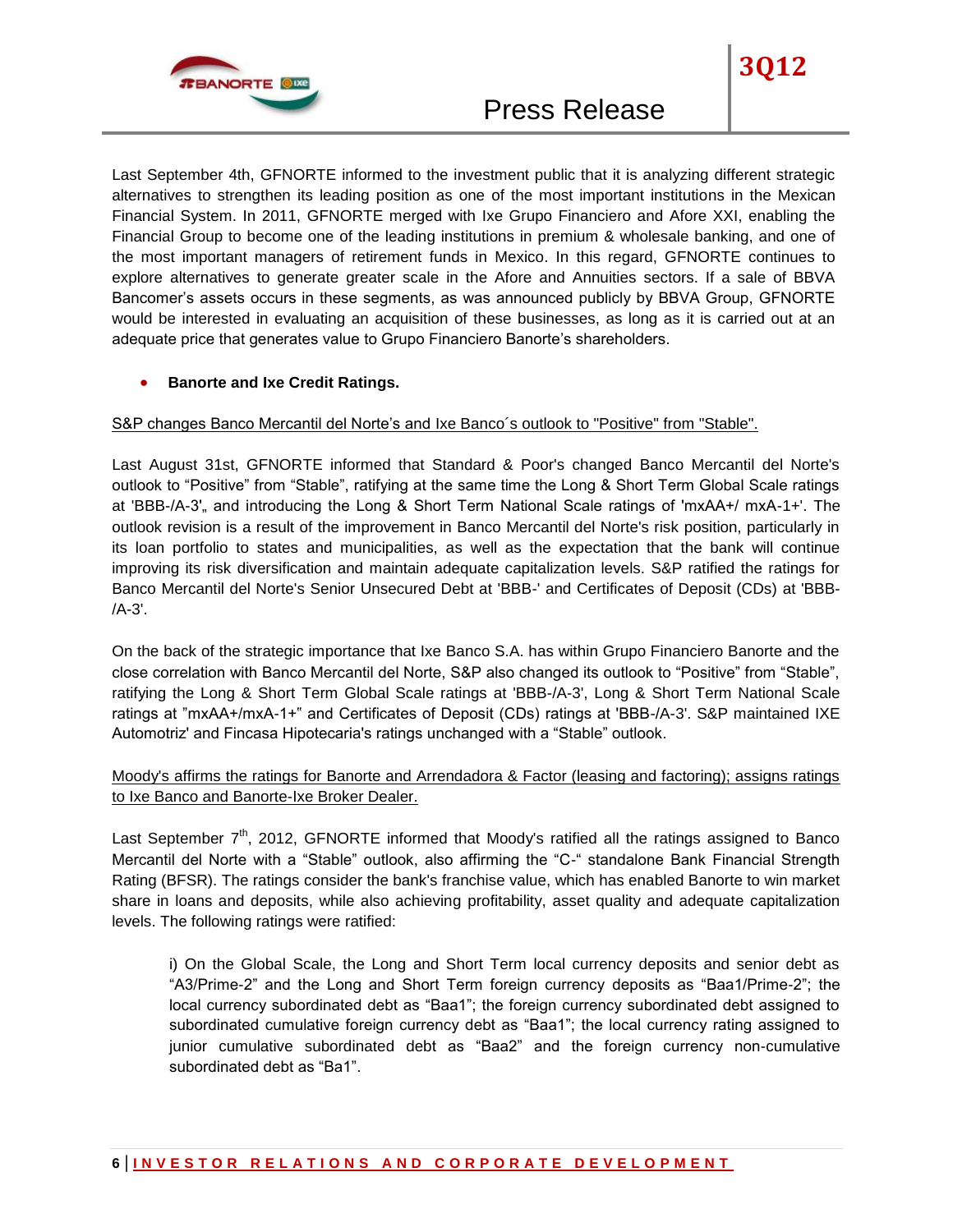

Last September 4th, GFNORTE informed to the investment public that it is analyzing different strategic alternatives to strengthen its leading position as one of the most important institutions in the Mexican Financial System. In 2011, GFNORTE merged with Ixe Grupo Financiero and Afore XXI, enabling the Financial Group to become one of the leading institutions in premium & wholesale banking, and one of the most important managers of retirement funds in Mexico. In this regard, GFNORTE continues to explore alternatives to generate greater scale in the Afore and Annuities sectors. If a sale of BBVA Bancomer's assets occurs in these segments, as was announced publicly by BBVA Group, GFNORTE would be interested in evaluating an acquisition of these businesses, as long as it is carried out at an adequate price that generates value to Grupo Financiero Banorte's shareholders.

## **Banorte and Ixe Credit Ratings.**

#### S&P changes Banco Mercantil del Norte's and Ixe Banco´s outlook to "Positive" from "Stable".

Last August 31st, GFNORTE informed that Standard & Poor's changed Banco Mercantil del Norte's outlook to "Positive" from "Stable", ratifying at the same time the Long & Short Term Global Scale ratings at 'BBB-/A-3', and introducing the Long & Short Term National Scale ratings of 'mxAA+/ mxA-1+'. The outlook revision is a result of the improvement in Banco Mercantil del Norte's risk position, particularly in its loan portfolio to states and municipalities, as well as the expectation that the bank will continue improving its risk diversification and maintain adequate capitalization levels. S&P ratified the ratings for Banco Mercantil del Norte's Senior Unsecured Debt at 'BBB-' and Certificates of Deposit (CDs) at 'BBB-  $/A - 3'$ 

On the back of the strategic importance that Ixe Banco S.A. has within Grupo Financiero Banorte and the close correlation with Banco Mercantil del Norte, S&P also changed its outlook to "Positive" from "Stable", ratifying the Long & Short Term Global Scale ratings at 'BBB-/A-3', Long & Short Term National Scale ratings at "mxAA+/mxA-1+" and Certificates of Deposit (CDs) ratings at 'BBB-/A-3'. S&P maintained IXE Automotriz' and Fincasa Hipotecaria's ratings unchanged with a "Stable" outlook.

# Moody's affirms the ratings for Banorte and Arrendadora & Factor (leasing and factoring); assigns ratings to Ixe Banco and Banorte-Ixe Broker Dealer.

Last September  $7<sup>th</sup>$ , 2012, GFNORTE informed that Moody's ratified all the ratings assigned to Banco Mercantil del Norte with a "Stable" outlook, also affirming the "C-" standalone Bank Financial Strength Rating (BFSR). The ratings consider the bank's franchise value, which has enabled Banorte to win market share in loans and deposits, while also achieving profitability, asset quality and adequate capitalization levels. The following ratings were ratified:

i) On the Global Scale, the Long and Short Term local currency deposits and senior debt as "A3/Prime-2" and the Long and Short Term foreign currency deposits as "Baa1/Prime-2"; the local currency subordinated debt as "Baa1"; the foreign currency subordinated debt assigned to subordinated cumulative foreign currency debt as "Baa1"; the local currency rating assigned to junior cumulative subordinated debt as "Baa2" and the foreign currency non-cumulative subordinated debt as "Ba1".